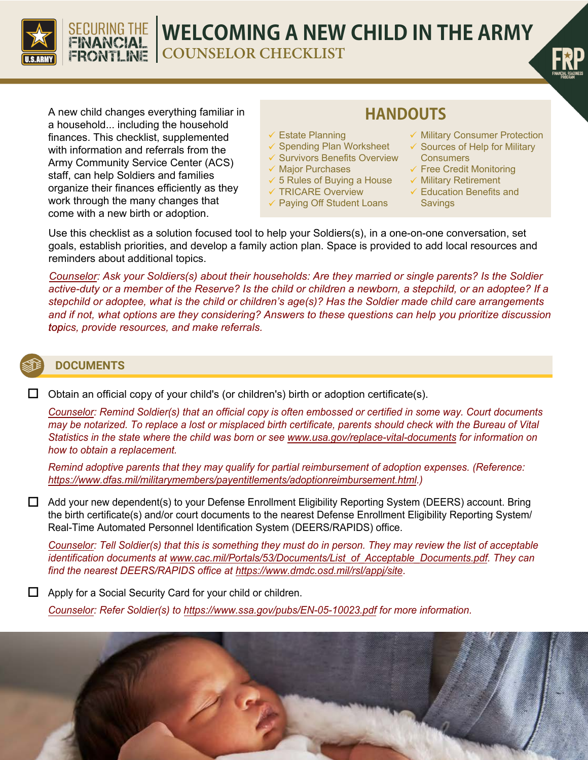

# **WELCOMING A NEW CHILD IN THE ARMY**

**COUNSELOR CHECKLIST**



A new child changes everything familiar in a household... including the household finances. This checklist, supplemented with information and referrals from the Army Community Service Center (ACS) staff, can help Soldiers and families organize their finances efficiently as they work through the many changes that come with a new birth or adoption.

SECURING THE<br>FINANCIAL<br>FRONTLINE

## **HANDOUTS**

- Estate Planning
- $\checkmark$  Spending Plan Worksheet
- $\checkmark$  Survivors Benefits Overview
- $\checkmark$  Major Purchases
- $\checkmark$  5 Rules of Buying a House
- TRICARE Overview
- Paying Off Student Loans
- $\checkmark$  Military Consumer Protection
- $\checkmark$  Sources of Help for Military **Consumers**
- $\checkmark$  Free Credit Monitoring
- $\checkmark$  Military Retirement
- $\checkmark$  Education Benefits and **Savings**

Use this checklist as a solution focused tool to help your Soldiers(s), in a one-on-one conversation, set goals, establish priorities, and develop a family action plan. Space is provided to add local resources and reminders about additional topics.

*Counselor: Ask your Soldiers(s) about their households: Are they married or single parents? Is the Soldier active-duty or a member of the Reserve? Is the child or children a newborn, a stepchild, or an adoptee? If a stepchild or adoptee, what is the child or children's age(s)? Has the Soldier made child care arrangements and if not, what options are they considering? Answers to these questions can help you prioritize discussion topics, provide resources, and make referrals.*

### **DOCUMENTS**

 $\Box$  Obtain an official copy of your child's (or children's) birth or adoption certificate(s).

*Counselor: Remind Soldier(s) that an official copy is often embossed or certified in some way. Court documents may be notarized. To replace a lost or misplaced birth certificate, parents should check with the Bureau of Vital Statistics in the state where the child was born or see www.usa.gov/replace-vital-documents for information on how to obtain a replacement.*

*Remind adoptive parents that they may qualify for partial reimbursement of adoption expenses. (Reference: https://www.dfas.mil/militarymembers/payentitlements/adoptionreimbursement.html.)*

 Add your new dependent(s) to your Defense Enrollment Eligibility Reporting System (DEERS) account. Bring the birth certificate(s) and/or court documents to the nearest Defense Enrollment Eligibility Reporting System/ Real-Time Automated Personnel Identification System (DEERS/RAPIDS) office.

*Counselor: Tell Soldier(s) that this is something they must do in person. They may review the list of acceptable identification documents at www.cac.mil/Portals/53/Documents/List\_of\_Acceptable\_Documents.pdf. They can find the nearest DEERS/RAPIDS office at https://www.dmdc.osd.mil/rsl/appj/site*.

 $\Box$  Apply for a Social Security Card for your child or children.

*Counselor: Refer Soldier(s) to https://www.ssa.gov/pubs/EN-05-10023.pdf for more information.*

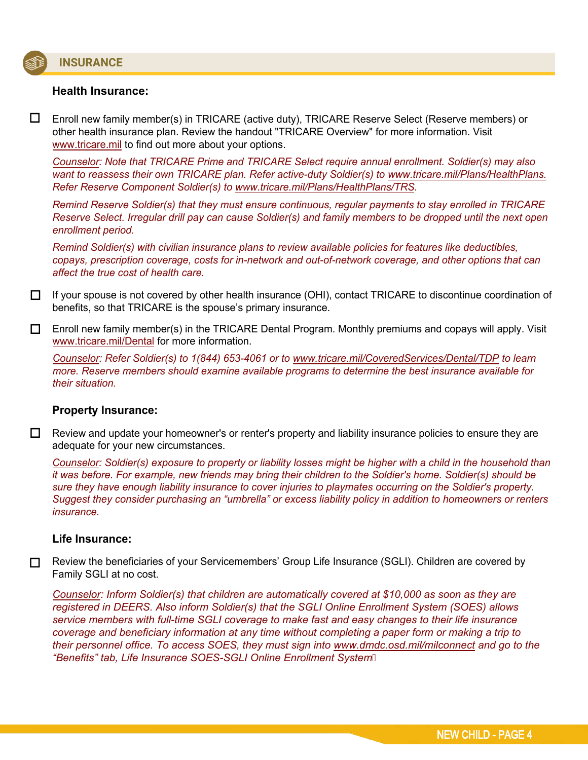# S

L,